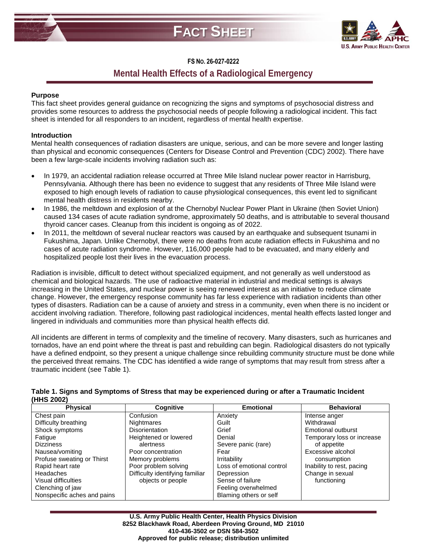



# **FS NO. 26-027-0222**

# **Mental Health Effects of a Radiological Emergency**

## **Purpose**

This fact sheet provides general guidance on recognizing the signs and symptoms of psychosocial distress and provides some resources to address the psychosocial needs of people following a radiological incident. This fact sheet is intended for all responders to an incident, regardless of mental health expertise.

## **Introduction**

Mental health consequences of radiation disasters are unique, serious, and can be more severe and longer lasting than physical and economic consequences (Centers for Disease Control and Prevention (CDC) 2002). There have been a few large-scale incidents involving radiation such as:

- In 1979, an accidental radiation release occurred at Three Mile Island nuclear power reactor in Harrisburg, Pennsylvania. Although there has been no evidence to suggest that any residents of Three Mile Island were exposed to high enough levels of radiation to cause physiological consequences, this event led to significant mental health distress in residents nearby.
- In 1986, the meltdown and explosion of at the Chernobyl Nuclear Power Plant in Ukraine (then Soviet Union) caused 134 cases of acute radiation syndrome, approximately 50 deaths, and is attributable to several thousand thyroid cancer cases. Cleanup from this incident is ongoing as of 2022.
- In 2011, the meltdown of several nuclear reactors was caused by an earthquake and subsequent tsunami in Fukushima, Japan. Unlike Chernobyl, there were no deaths from acute radiation effects in Fukushima and no cases of acute radiation syndrome. However, 116,000 people had to be evacuated, and many elderly and hospitalized people lost their lives in the evacuation process.

Radiation is invisible, difficult to detect without specialized equipment, and not generally as well understood as chemical and biological hazards. The use of radioactive material in industrial and medical settings is always increasing in the United States, and nuclear power is seeing renewed interest as an initiative to reduce climate change. However, the emergency response community has far less experience with radiation incidents than other types of disasters. Radiation can be a cause of anxiety and stress in a community, even when there is no incident or accident involving radiation. Therefore, following past radiological incidences, mental health effects lasted longer and lingered in individuals and communities more than physical health effects did.

All incidents are different in terms of complexity and the timeline of recovery. Many disasters, such as hurricanes and tornados, have an end point where the threat is past and rebuilding can begin. Radiological disasters do not typically have a defined endpoint, so they present a unique challenge since rebuilding community structure must be done while the perceived threat remains. The CDC has identified a wide range of symptoms that may result from stress after a traumatic incident (see Table 1).

| INNƏ ZUUZI                  |                                 |                           |                            |
|-----------------------------|---------------------------------|---------------------------|----------------------------|
| <b>Physical</b>             | Cognitive                       | <b>Emotional</b>          | <b>Behavioral</b>          |
| Chest pain                  | Confusion                       | Anxiety                   | Intense anger              |
| Difficulty breathing        | <b>Nightmares</b>               | Guilt                     | Withdrawal                 |
| Shock symptoms              | <b>Disorientation</b>           | Grief                     | <b>Emotional outburst</b>  |
| Fatigue                     | Heightened or lowered           | Denial                    | Temporary loss or increase |
| <b>Dizziness</b>            | alertness                       | Severe panic (rare)       | of appetite                |
| Nausea/vomiting             | Poor concentration              | Fear                      | Excessive alcohol          |
| Profuse sweating or Thirst  | Memory problems                 | Irritability              | consumption                |
| Rapid heart rate            | Poor problem solving            | Loss of emotional control | Inability to rest, pacing  |
| Headaches                   | Difficulty identifying familiar | Depression                | Change in sexual           |
| Visual difficulties         | objects or people               | Sense of failure          | functioning                |
| Clenching of jaw            |                                 | Feeling overwhelmed       |                            |
| Nonspecific aches and pains |                                 | Blaming others or self    |                            |

#### **Table 1. Signs and Symptoms of Stress that may be experienced during or after a Traumatic Incident (HHS 2002)**